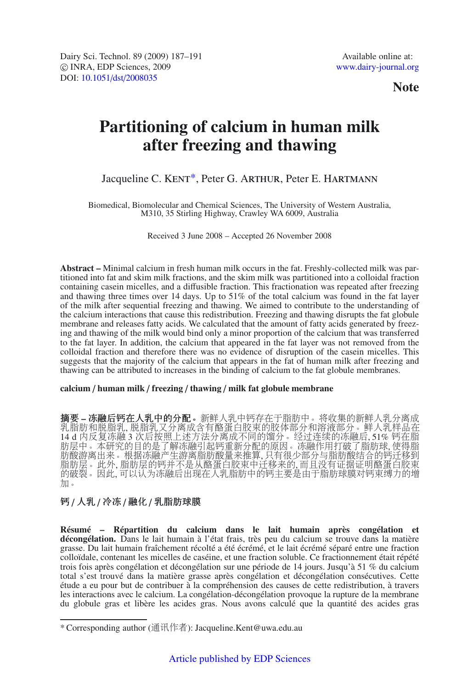**Note**

# **Partitioning of calcium in human milk after freezing and thawing**

## Jacqueline C. KENT\*, Peter G. ARTHUR, Peter E. HARTMANN

Biomedical, Biomolecular and Chemical Sciences, The University of Western Australia, M310, 35 Stirling Highway, Crawley WA 6009, Australia

Received 3 June 2008 – Accepted 26 November 2008

**Abstract –** Minimal calcium in fresh human milk occurs in the fat. Freshly-collected milk was partitioned into fat and skim milk fractions, and the skim milk was partitioned into a colloidal fraction containing casein micelles, and a diffusible fraction. This fractionation was repeated after freezing and thawing three times over 14 days. Up to 51% of the total calcium was found in the fat layer of the milk after sequential freezing and thawing. We aimed to contribute to the understanding of the calcium interactions that cause this redistribution. Freezing and thawing disrupts the fat globule membrane and releases fatty acids. We calculated that the amount of fatty acids generated by freezing and thawing of the milk would bind only a minor proportion of the calcium that was transferred to the fat layer. In addition, the calcium that appeared in the fat layer was not removed from the colloidal fraction and therefore there was no evidence of disruption of the casein micelles. This suggests that the majority of the calcium that appears in the fat of human milk after freezing and thawing can be attributed to increases in the binding of calcium to the fat globule membranes.

#### **calcium** / **human milk** / **freezing** / **thawing** / **milk fat globule membrane**

摘要 **–** 冻融后钙在人乳中的分配。新鲜人乳中钙存在于脂肪中。将收集的新鲜人乳分离成 乳脂肪和脱脂乳, 脱脂乳又分离成含有酪蛋白胶束的胶体部分和溶液部分。鲜人乳样品在 14 d 内反复冻融 3 次后按照上述方法分离成不同的馏分。经过连续的冻融后, 51% 钙在脂 肪层中。本研究的目的是了解冻融引起钙重新分配的原因。冻融作用打破了脂肪球, 使得脂 肪酸游离出来。根据冻融产生游离脂肪酸量来推算, 只有很少部分与脂肪酸结合的钙迁移到 脂肪层。此外, 脂肪层的钙并不是从酪蛋白胶束中迁移来的, 而且没有证据证明酪蛋白胶束 的破裂。因此, 可以认为冻融后出现在人乳脂肪中的钙主要是由于脂肪球膜对钙束缚力的增 加。

### 钙 / 人乳 / 冷冻 / 融化 / 乳脂肪球膜

**Résumé – Répartition du calcium dans le lait humain après congélation et décongélation.** Dans le lait humain à l'état frais, très peu du calcium se trouve dans la matière grasse. Du lait humain fraîchement récolté a été écrémé, et le lait écrémé séparé entre une fraction colloïdale, contenant les micelles de caséine, et une fraction soluble. Ce fractionnement était répété trois fois après congélation et décongélation sur une période de 14 jours. Jusqu'à 51 % du calcium total s'est trouvé dans la matière grasse après congélation et décongélation consécutives. Cette étude a eu pour but de contribuer à la compréhension des causes de cette redistribution, à travers les interactions avec le calcium. La congélation-décongélation provoque la rupture de la membrane du globule gras et libère les acides gras. Nous avons calculé que la quantité des acides gras

<sup>\*</sup> Corresponding author (通讯作者): Jacqueline.Kent@uwa.edu.au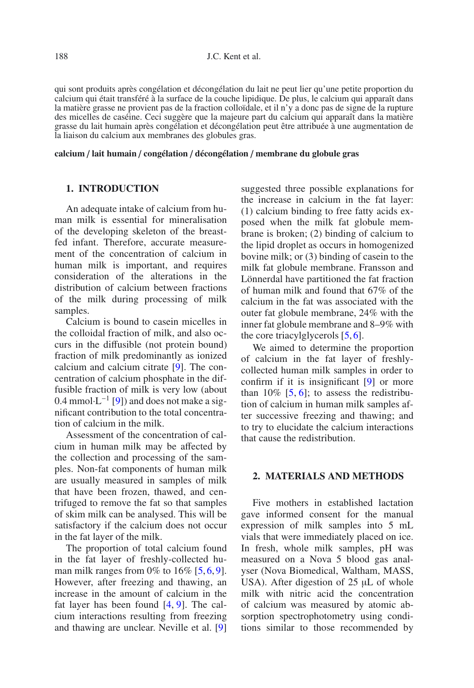qui sont produits après congélation et décongélation du lait ne peut lier qu'une petite proportion du calcium qui était transféré à la surface de la couche lipidique. De plus, le calcium qui apparaît dans la matière grasse ne provient pas de la fraction colloïdale, et il n'y a donc pas de signe de la rupture des micelles de caséine. Ceci suggère que la majeure part du calcium qui apparaît dans la matière grasse du lait humain après congélation et décongélation peut être attribuée à une augmentation de la liaison du calcium aux membranes des globules gras.

#### **calcium** / **lait humain** / **congélation** / **décongélation** / **membrane du globule gras**

#### **1. INTRODUCTION**

An adequate intake of calcium from human milk is essential for mineralisation of the developing skeleton of the breastfed infant. Therefore, accurate measurement of the concentration of calcium in human milk is important, and requires consideration of the alterations in the distribution of calcium between fractions of the milk during processing of milk samples.

Calcium is bound to casein micelles in the colloidal fraction of milk, and also occurs in the diffusible (not protein bound) fraction of milk predominantly as ionized calcium and calcium citrate [\[9](#page-4-0)]. The concentration of calcium phosphate in the diffusible fraction of milk is very low (about 0.4 mmol·L−<sup>1</sup> [\[9\]](#page-4-0)) and does not make a significant contribution to the total concentration of calcium in the milk.

Assessment of the concentration of calcium in human milk may be affected by the collection and processing of the samples. Non-fat components of human milk are usually measured in samples of milk that have been frozen, thawed, and centrifuged to remove the fat so that samples of skim milk can be analysed. This will be satisfactory if the calcium does not occur in the fat layer of the milk.

The proportion of total calcium found in the fat layer of freshly-collected human milk ranges from 0% to  $16\%$  $16\%$  $16\%$  [\[5,](#page-4-1) 6, [9](#page-4-0)]. However, after freezing and thawing, an increase in the amount of calcium in the fat layer has been found [\[4](#page-4-3), [9](#page-4-0)]. The calcium interactions resulting from freezing and thawing are unclear. Neville et al. [\[9\]](#page-4-0) suggested three possible explanations for the increase in calcium in the fat layer: (1) calcium binding to free fatty acids exposed when the milk fat globule membrane is broken; (2) binding of calcium to the lipid droplet as occurs in homogenized bovine milk; or (3) binding of casein to the milk fat globule membrane. Fransson and Lönnerdal have partitioned the fat fraction of human milk and found that 67% of the calcium in the fat was associated with the outer fat globule membrane, 24% with the inner fat globule membrane and 8–9% with the core triacylglycerols [\[5,](#page-4-1) [6\]](#page-4-2).

We aimed to determine the proportion of calcium in the fat layer of freshlycollected human milk samples in order to confirm if it is insignificant [\[9](#page-4-0)] or more than  $10\%$  [\[5](#page-4-1), [6\]](#page-4-2); to assess the redistribution of calcium in human milk samples after successive freezing and thawing; and to try to elucidate the calcium interactions that cause the redistribution.

#### **2. MATERIALS AND METHODS**

Five mothers in established lactation gave informed consent for the manual expression of milk samples into 5 mL vials that were immediately placed on ice. In fresh, whole milk samples, pH was measured on a Nova 5 blood gas analyser (Nova Biomedical, Waltham, MASS, USA). After digestion of 25 μL of whole milk with nitric acid the concentration of calcium was measured by atomic absorption spectrophotometry using conditions similar to those recommended by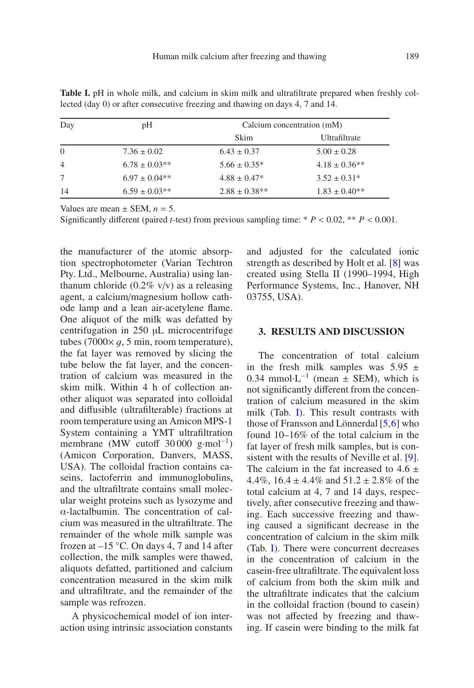| Day            | рH                | Calcium concentration (mM) |                   |
|----------------|-------------------|----------------------------|-------------------|
|                |                   | Skim                       | Ultrafiltrate     |
| $\Omega$       | $7.36 \pm 0.02$   | $6.43 \pm 0.37$            | $5.00 \pm 0.28$   |
| $\overline{4}$ | $6.78 \pm 0.03**$ | $5.66 \pm 0.35^*$          | $4.18 \pm 0.36**$ |
| 7              | $6.97 \pm 0.04**$ | $4.88 \pm 0.47^*$          | $3.52 \pm 0.31*$  |
| 14             | $6.59 \pm 0.03**$ | $2.88 \pm 0.38**$          | $1.83 \pm 0.40**$ |

<span id="page-2-0"></span>**Table I.** pH in whole milk, and calcium in skim milk and ultrafiltrate prepared when freshly collected (day 0) or after consecutive freezing and thawing on days 4, 7 and 14.

Values are mean  $\pm$  SEM,  $n = 5$ .

Significantly different (paired *t*-test) from previous sampling time:  $* P < 0.02$ ,  $* P < 0.001$ .

the manufacturer of the atomic absorption spectrophotometer (Varian Techtron Pty. Ltd., Melbourne, Australia) using lanthanum chloride  $(0.2\% \text{ v/v})$  as a releasing agent, a calcium/magnesium hollow cathode lamp and a lean air-acetylene flame. One aliquot of the milk was defatted by centrifugation in 250 μL microcentrifuge tubes (7000 $\times$  *q*, 5 min, room temperature), the fat layer was removed by slicing the tube below the fat layer, and the concentration of calcium was measured in the skim milk. Within 4 h of collection another aliquot was separated into colloidal and diffusible (ultrafilterable) fractions at room temperature using an Amicon MPS-1 System containing a YMT ultrafiltration membrane (MW cutoff 30 000 g·mol<sup>-1</sup>) (Amicon Corporation, Danvers, MASS, USA). The colloidal fraction contains caseins, lactoferrin and immunoglobulins, and the ultrafiltrate contains small molecular weight proteins such as lysozyme and α-lactalbumin. The concentration of calcium was measured in the ultrafiltrate. The remainder of the whole milk sample was frozen at  $-15$  °C. On days 4, 7 and 14 after collection, the milk samples were thawed, aliquots defatted, partitioned and calcium concentration measured in the skim milk and ultrafiltrate, and the remainder of the sample was refrozen.

A physicochemical model of ion interaction using intrinsic association constants and adjusted for the calculated ionic strength as described by Holt et al. [\[8\]](#page-4-4) was created using Stella II (1990–1994, High Performance Systems, Inc., Hanover, NH 03755, USA).

#### **3. RESULTS AND DISCUSSION**

The concentration of total calcium in the fresh milk samples was  $5.95 \pm$ 0.34 mmol⋅L<sup>-1</sup> (mean  $\pm$  SEM), which is not significantly different from the concentration of calcium measured in the skim milk (Tab. [I\)](#page-2-0). This result contrasts with those of Fransson and Lönnerdal [\[5](#page-4-1)[,6](#page-4-2)] who found 10–16% of the total calcium in the fat layer of fresh milk samples, but is consistent with the results of Neville et al. [\[9\]](#page-4-0). The calcium in the fat increased to  $4.6 \pm 4.4\%$  16.4 + 4.4% and 51.2 + 2.8% of the 4.4%,  $16.4 \pm 4.4\%$  and  $51.2 \pm 2.8\%$  of the total calcum at 4, 7 and 14 days, respectotal calcium at 4, 7 and 14 days, respectively, after consecutive freezing and thawing. Each successive freezing and thawing caused a significant decrease in the concentration of calcium in the skim milk (Tab. [I\)](#page-2-0). There were concurrent decreases in the concentration of calcium in the casein-free ultrafiltrate. The equivalent loss of calcium from both the skim milk and the ultrafiltrate indicates that the calcium in the colloidal fraction (bound to casein) was not affected by freezing and thawing. If casein were binding to the milk fat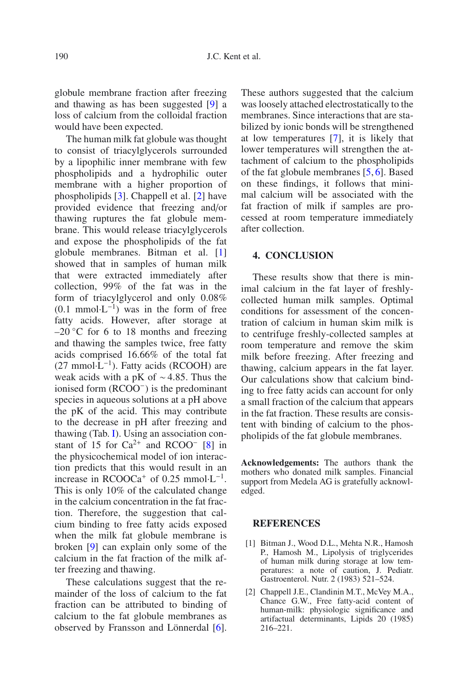globule membrane fraction after freezing and thawing as has been suggested [\[9](#page-4-0)] a loss of calcium from the colloidal fraction would have been expected.

The human milk fat globule was thought to consist of triacylglycerols surrounded by a lipophilic inner membrane with few phospholipids and a hydrophilic outer membrane with a higher proportion of phospholipids [\[3\]](#page-4-5). Chappell et al. [\[2](#page-3-0)] have provided evidence that freezing and/or thawing ruptures the fat globule membrane. This would release triacylglycerols and expose the phospholipids of the fat globule membranes. Bitman et al. [\[1\]](#page-3-1) showed that in samples of human milk that were extracted immediately after collection, 99% of the fat was in the form of triacylglycerol and only 0.08%  $(0.1 \text{ mmol·L}^{-1})$  was in the form of free fatty acids. However, after storage at  $-20$  °C for 6 to 18 months and freezing and thawing the samples twice, free fatty acids comprised 16.66% of the total fat  $(27 \text{ mmol} \cdot \text{L}^{-1})$ . Fatty acids (RCOOH) are weak acids with a pK of ∼ 4.85. Thus the ionised form (RCOO−) is the predominant species in aqueous solutions at a pH above the pK of the acid. This may contribute to the decrease in pH after freezing and thawing (Tab. [I\)](#page-2-0). Using an association constant of 15 for  $Ca^{2+}$  and RCOO<sup>-</sup> [\[8\]](#page-4-4) in the physicochemical model of ion interaction predicts that this would result in an increase in RCOOCa<sup>+</sup> of 0.25 mmol⋅L<sup>-1</sup>. This is only 10% of the calculated change in the calcium concentration in the fat fraction. Therefore, the suggestion that calcium binding to free fatty acids exposed when the milk fat globule membrane is broken [\[9\]](#page-4-0) can explain only some of the calcium in the fat fraction of the milk after freezing and thawing.

These calculations suggest that the remainder of the loss of calcium to the fat fraction can be attributed to binding of calcium to the fat globule membranes as observed by Fransson and Lönnerdal [\[6](#page-4-2)]. These authors suggested that the calcium was loosely attached electrostatically to the membranes. Since interactions that are stabilized by ionic bonds will be strengthened at low temperatures [\[7\]](#page-4-6), it is likely that lower temperatures will strengthen the attachment of calcium to the phospholipids of the fat globule membranes [\[5](#page-4-1), [6](#page-4-2)]. Based on these findings, it follows that minimal calcium will be associated with the fat fraction of milk if samples are processed at room temperature immediately after collection.

#### **4. CONCLUSION**

These results show that there is minimal calcium in the fat layer of freshlycollected human milk samples. Optimal conditions for assessment of the concentration of calcium in human skim milk is to centrifuge freshly-collected samples at room temperature and remove the skim milk before freezing. After freezing and thawing, calcium appears in the fat layer. Our calculations show that calcium binding to free fatty acids can account for only a small fraction of the calcium that appears in the fat fraction. These results are consistent with binding of calcium to the phospholipids of the fat globule membranes.

**Acknowledgements:** The authors thank the mothers who donated milk samples. Financial support from Medela AG is gratefully acknowledged.

#### **REFERENCES**

- <span id="page-3-1"></span>[1] Bitman J., Wood D.L., Mehta N.R., Hamosh P., Hamosh M., Lipolysis of triglycerides of human milk during storage at low temperatures: a note of caution, J. Pediatr. Gastroenterol. Nutr. 2 (1983) 521–524.
- <span id="page-3-0"></span>[2] Chappell J.E., Clandinin M.T., McVey M.A., Chance G.W., Free fatty-acid content of human-milk: physiologic significance and artifactual determinants, Lipids 20 (1985) 216–221.